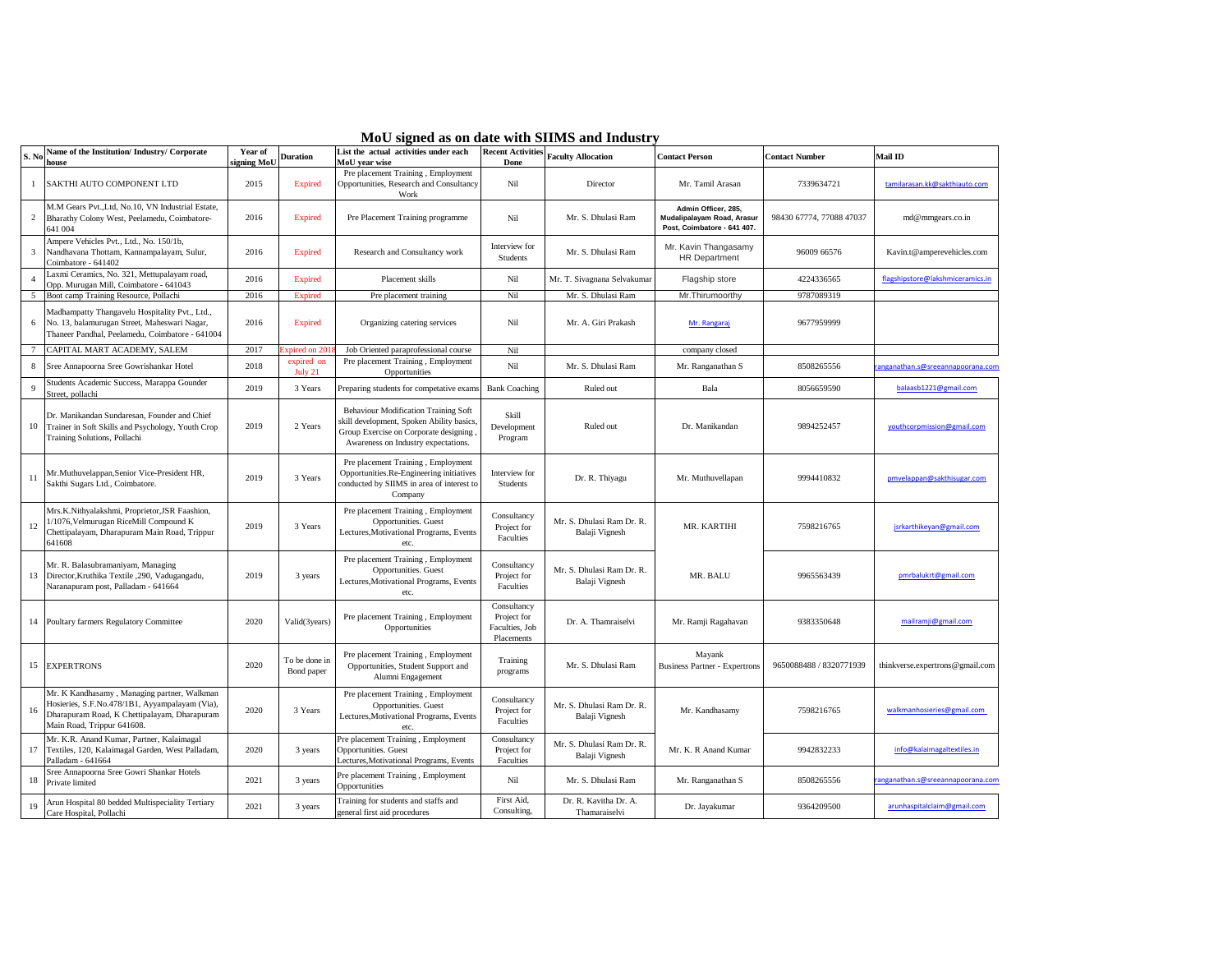| S. N           | Name of the Institution/ Industry/ Corporate<br>house                                                                                                                       | Year of<br>signing Mol | <b>Duration</b>             | List the actual activities under each<br>AoU vear wise                                                                                                                    | <b>Recent Activities</b><br>Done                           | <b>Faculty Allocation</b>                   | <b>Contact Person</b>                                                            | <b>Contact Number</b>    | Mail ID                          |
|----------------|-----------------------------------------------------------------------------------------------------------------------------------------------------------------------------|------------------------|-----------------------------|---------------------------------------------------------------------------------------------------------------------------------------------------------------------------|------------------------------------------------------------|---------------------------------------------|----------------------------------------------------------------------------------|--------------------------|----------------------------------|
| $\mathbf{1}$   | SAKTHI AUTO COMPONENT LTD                                                                                                                                                   | 2015                   | <b>Expired</b>              | Pre placement Training, Employment<br>Opportunities, Research and Consultancy<br>Work                                                                                     | Nil                                                        | Director                                    | Mr. Tamil Arasan                                                                 | 7339634721               | tamilarasan.kk@sakthiauto.com    |
| $\overline{c}$ | M.M Gears Pvt., Ltd, No.10, VN Industrial Estate,<br>Bharathy Colony West, Peelamedu, Coimbatore-<br>641 004                                                                | 2016                   | <b>Expired</b>              | Pre Placement Training programme                                                                                                                                          | Nil                                                        | Mr. S. Dhulasi Ram                          | Admin Officer, 285.<br>Mudalipalayam Road, Arasur<br>Post, Coimbatore - 641 407. | 98430 67774, 77088 47037 | md@mmgears.co.in                 |
| $\overline{3}$ | Ampere Vehicles Pvt., Ltd., No. 150/1b,<br>Nandhavana Thottam, Kannampalayam, Sulur,<br>Coimbatore - 641402                                                                 | 2016                   | <b>Expired</b>              | Research and Consultancy work                                                                                                                                             | Interview for<br><b>Students</b>                           | Mr. S. Dhulasi Ram                          | Mr. Kavin Thangasamy<br><b>HR Department</b>                                     | 96009 66576              | Kavin.t@amperevehicles.com       |
| $\overline{4}$ | Laxmi Ceramics, No. 321, Mettupalayam road,<br>Opp. Murugan Mill, Coimbatore - 641043                                                                                       | 2016                   | <b>Expired</b>              | Placement skills                                                                                                                                                          | Nil                                                        | Mr. T. Sivagnana Selvakumar                 | Flagship store                                                                   | 4224336565               | flagshipstore@lakshmiceramics.in |
| 5              | Boot camp Training Resource, Pollachi                                                                                                                                       | 2016                   | Expired                     | Pre placement training                                                                                                                                                    | Nil                                                        | Mr. S. Dhulasi Ram                          | Mr. Thirumoorthy                                                                 | 9787089319               |                                  |
| 6              | Madhampatty Thangavelu Hospitality Pvt., Ltd.,<br>No. 13, balamurugan Street, Maheswari Nagar,<br>Thaneer Pandhal, Peelamedu, Coimbatore - 641004                           | 2016                   | <b>Expired</b>              | Organizing catering services                                                                                                                                              | Nil                                                        | Mr. A. Giri Prakash                         | Mr. Rangaraj                                                                     | 9677959999               |                                  |
| 7              | CAPITAL MART ACADEMY, SALEM                                                                                                                                                 | 2017                   | pired on 20                 | Job Oriented paraprofessional course                                                                                                                                      | Nil                                                        |                                             | company closed                                                                   |                          |                                  |
| 8              | Sree Annapoorna Sree Gowrishankar Hotel                                                                                                                                     | 2018                   | expired on<br>July 21       | Pre placement Training, Employment<br>Opportunities                                                                                                                       | Nil                                                        | Mr. S. Dhulasi Ram                          | Mr. Ranganathan S                                                                | 8508265556               | inganathan.s@sreeannapoorana.com |
| 9              | Students Academic Success, Marappa Gounder<br>Street, pollachi                                                                                                              | 2019                   | 3 Years                     | Preparing students for competative exam                                                                                                                                   | <b>Bank Coaching</b>                                       | Ruled out                                   | Bala                                                                             | 8056659590               | balaasb1221@gmail.com            |
| 10             | Dr. Manikandan Sundaresan, Founder and Chief<br>Trainer in Soft Skills and Psychology, Youth Crop<br>Training Solutions, Pollachi                                           | 2019                   | 2 Years                     | <b>Behaviour Modification Training Soft</b><br>skill development, Spoken Ability basics,<br>Group Exercise on Corporate designing,<br>Awareness on Industry expectations. | Skill<br>Development<br>Program                            | Ruled out                                   | Dr. Manikandan                                                                   | 9894252457               | youthcorpmission@gmail.com       |
| 11             | Mr.Muthuvelappan,Senior Vice-President HR,<br>Sakthi Sugars Ltd., Coimbatore.                                                                                               | 2019                   | 3 Years                     | Pre placement Training, Employment<br>Opportunities.Re-Engineering initiatives<br>conducted by SIIMS in area of interest to<br>Company                                    | Interview for<br><b>Students</b>                           | Dr. R. Thiyagu                              | Mr. Muthuvellapan                                                                | 9994410832               | pmvelappan@sakthisugar.com       |
| 12             | Mrs.K.Nithyalakshmi, Proprietor,JSR Faashion,<br>1/1076, Velmurugan RiceMill Compound K<br>Chettipalayam, Dharapuram Main Road, Trippur<br>641608                           | 2019                   | 3 Years                     | Pre placement Training, Employment<br>Opportunities. Guest<br>Lectures, Motivational Programs, Events<br>etc.                                                             | Consultancy<br>Project for<br><b>Faculties</b>             | Mr. S. Dhulasi Ram Dr. R.<br>Balaji Vignesh | MR. KARTIHI                                                                      | 7598216765               | jsrkarthikeyan@gmail.com         |
| 13             | Mr. R. Balasubramaniyam, Managing<br>Director, Kruthika Textile , 290, Vadugangadu,<br>Naranapuram post, Palladam - 641664                                                  | 2019                   | 3 years                     | Pre placement Training, Employment<br>Opportunities. Guest<br>Lectures, Motivational Programs, Events<br>etc.                                                             | Consultancy<br>Project for<br>Faculties                    | Mr. S. Dhulasi Ram Dr. R.<br>Balaji Vignesh | MR. BALU                                                                         | 9965563439               | pmrbalukrt@gmail.com             |
|                | 14 Poultary farmers Regulatory Committee                                                                                                                                    | 2020                   | Valid(3years)               | Pre placement Training, Employment<br>Opportunities                                                                                                                       | Consultancy<br>Project for<br>Faculties, Job<br>Placements | Dr. A. Thamraiselvi                         | Mr. Ramji Ragahavan                                                              | 9383350648               | mailramji@gmail.com              |
| 15             | <b>EXPERTRONS</b>                                                                                                                                                           | 2020                   | To be done in<br>Bond paper | Pre placement Training, Employment<br>Opportunities, Student Support and<br>Alumni Engagement                                                                             | Training<br>programs                                       | Mr. S. Dhulasi Ram                          | Mayank<br><b>Business Partner - Expertrons</b>                                   | 9650088488 / 8320771939  | thinkverse.expertrons@gmail.com  |
| 16             | Mr. K Kandhasamy, Managing partner, Walkman<br>Hosieries, S.F.No.478/1B1, Ayyampalayam (Via),<br>Dharapuram Road, K Chettipalayam, Dharapuram<br>Main Road, Trippur 641608. | 2020                   | 3 Years                     | Pre placement Training, Employment<br>Opportunities. Guest<br>Lectures, Motivational Programs, Events<br>etc.                                                             | Consultancy<br>Project for<br>Faculties                    | Mr. S. Dhulasi Ram Dr. R.<br>Balaji Vignesh | Mr. Kandhasamy                                                                   | 7598216765               | walkmanhosieries@gmail.com       |
| 17             | Mr. K.R. Anand Kumar, Partner, Kalaimagal<br>Textiles, 120, Kalaimagal Garden, West Palladam,<br>Palladam - 641664                                                          | 2020                   | 3 years                     | Pre placement Training, Employment<br>Opportunities. Guest<br>ectures, Motivational Programs, Events                                                                      | Consultancy<br>Project for<br>Faculties                    | Mr. S. Dhulasi Ram Dr. R.<br>Balaji Vignesh | Mr. K. R Anand Kumar                                                             | 9942832233               | info@kalaimagaltextiles.in       |
| 18             | Sree Annapoorna Sree Gowri Shankar Hotels<br>Private limited                                                                                                                | 2021                   | 3 years                     | Pre placement Training, Employment<br>Opportunities                                                                                                                       | Nil                                                        | Mr. S. Dhulasi Ram                          | Mr. Ranganathan S                                                                | 8508265556               | inganathan.s@sreeannapoorana.com |
| 19             | Arun Hospital 80 bedded Multispeciality Tertiary<br>Care Hospital, Pollachi                                                                                                 | 2021                   | 3 years                     | Training for students and staffs and<br>general first aid procedures                                                                                                      | First Aid,<br>Consulting.                                  | Dr. R. Kavitha Dr. A.<br>Thamaraiselvi      | Dr. Jayakumar                                                                    | 9364209500               | arunhaspitalclaim@gmail.com      |

**MoU signed as on date with SIIMS and Industry**